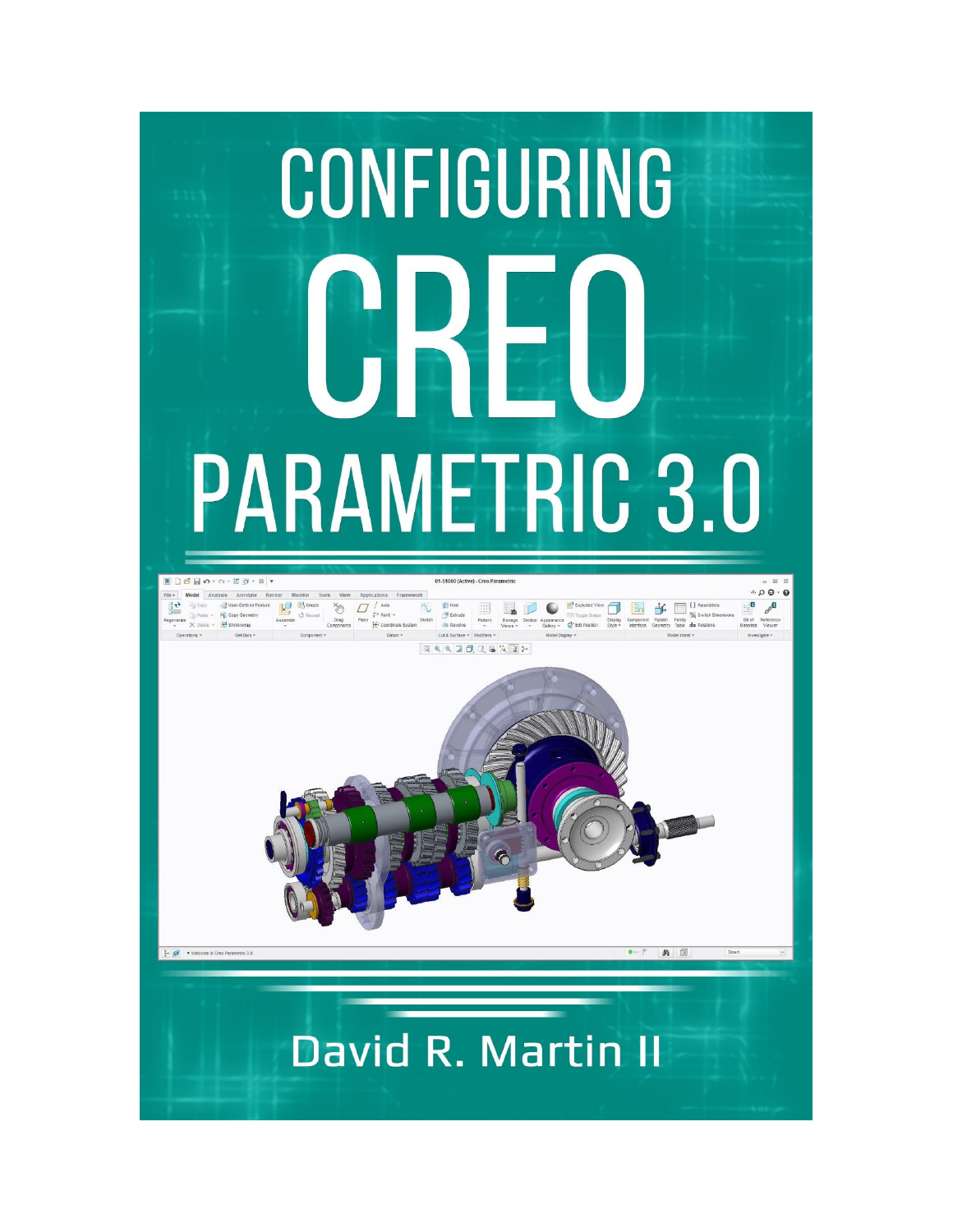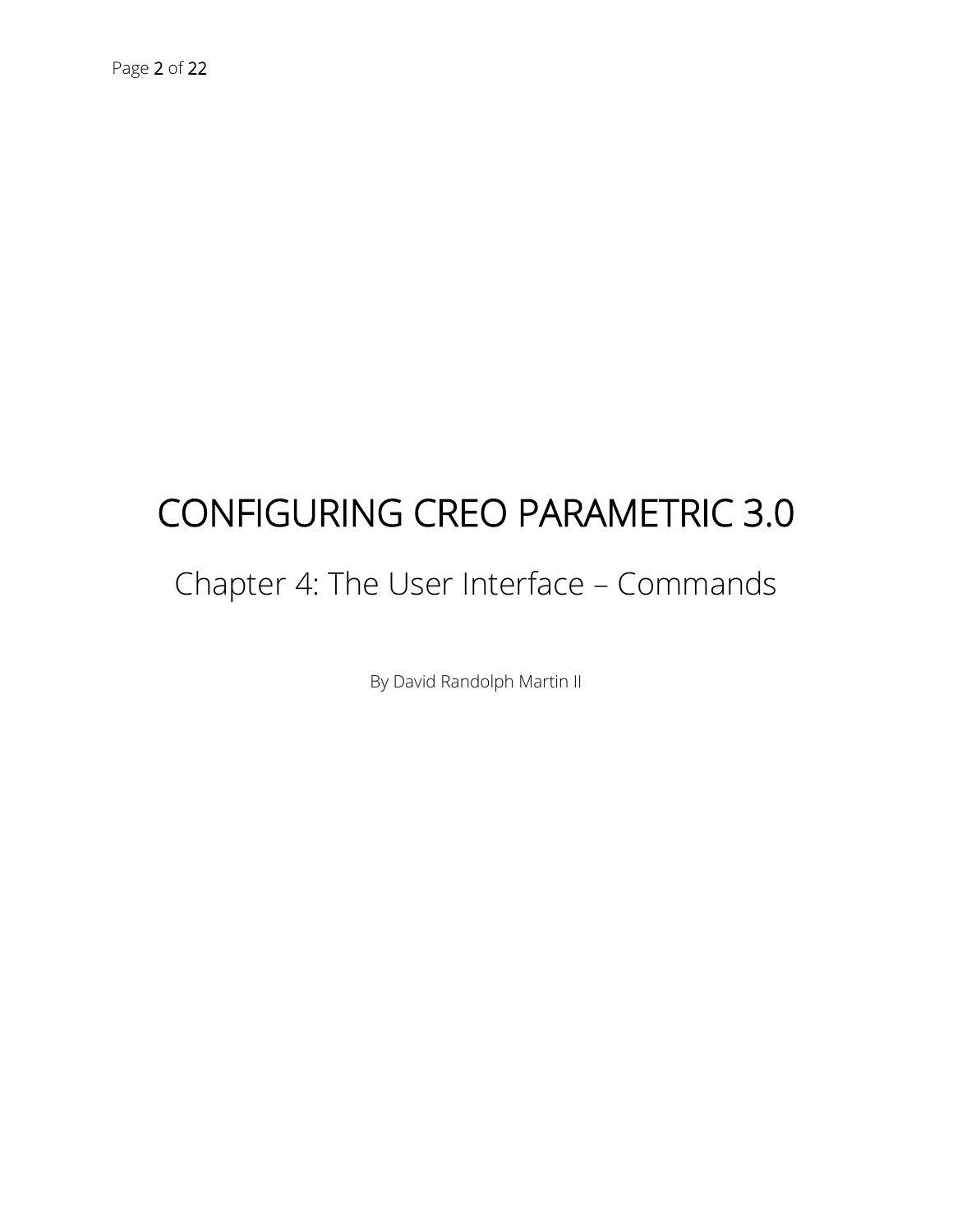# CONFIGURING CREO PARAMETRIC 3.0

# Chapter 4: The User Interface – Commands

By David Randolph Martin II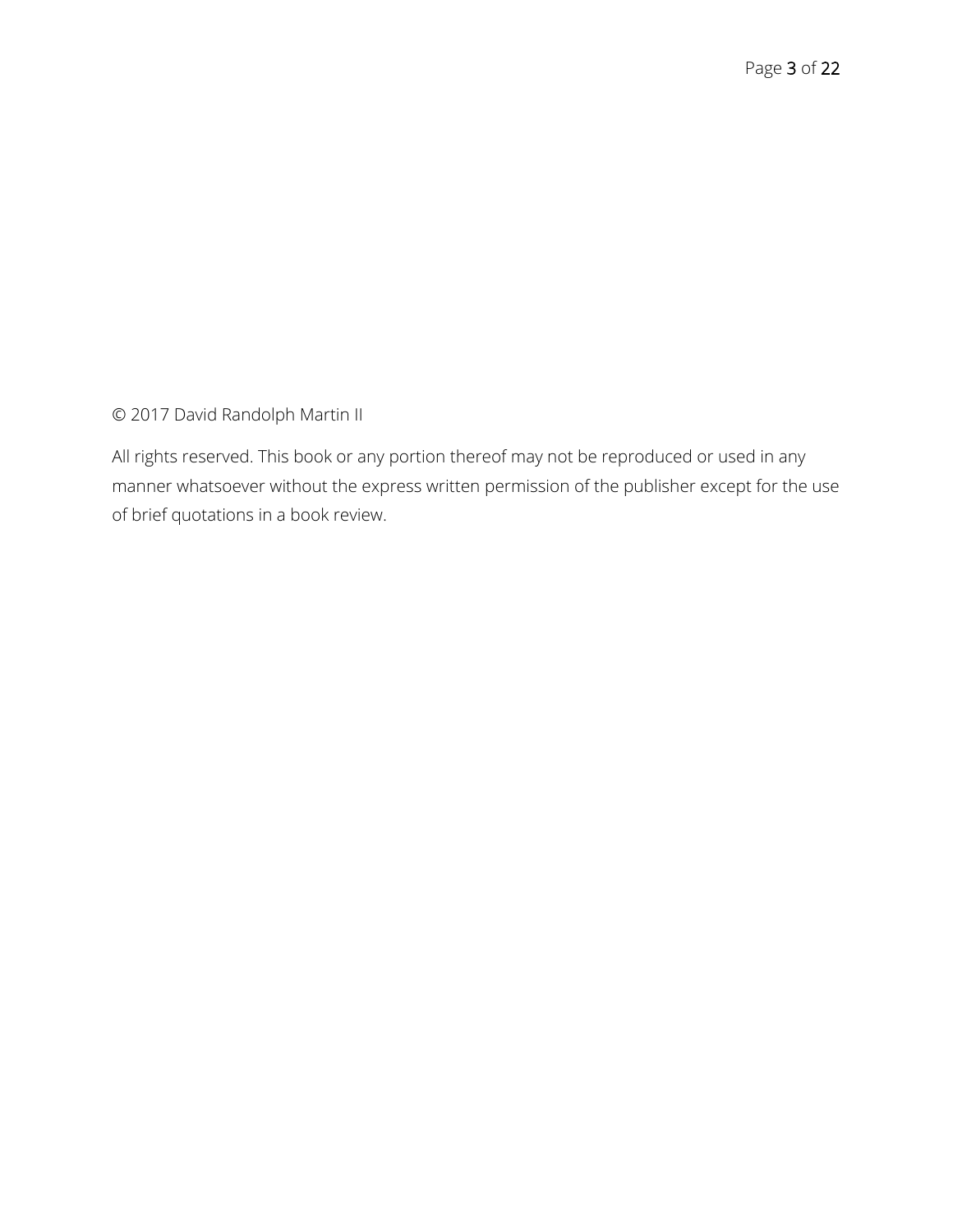© 2017 David Randolph Martin II

All rights reserved. This book or any portion thereof may not be reproduced or used in any manner whatsoever without the express written permission of the publisher except for the use of brief quotations in a book review.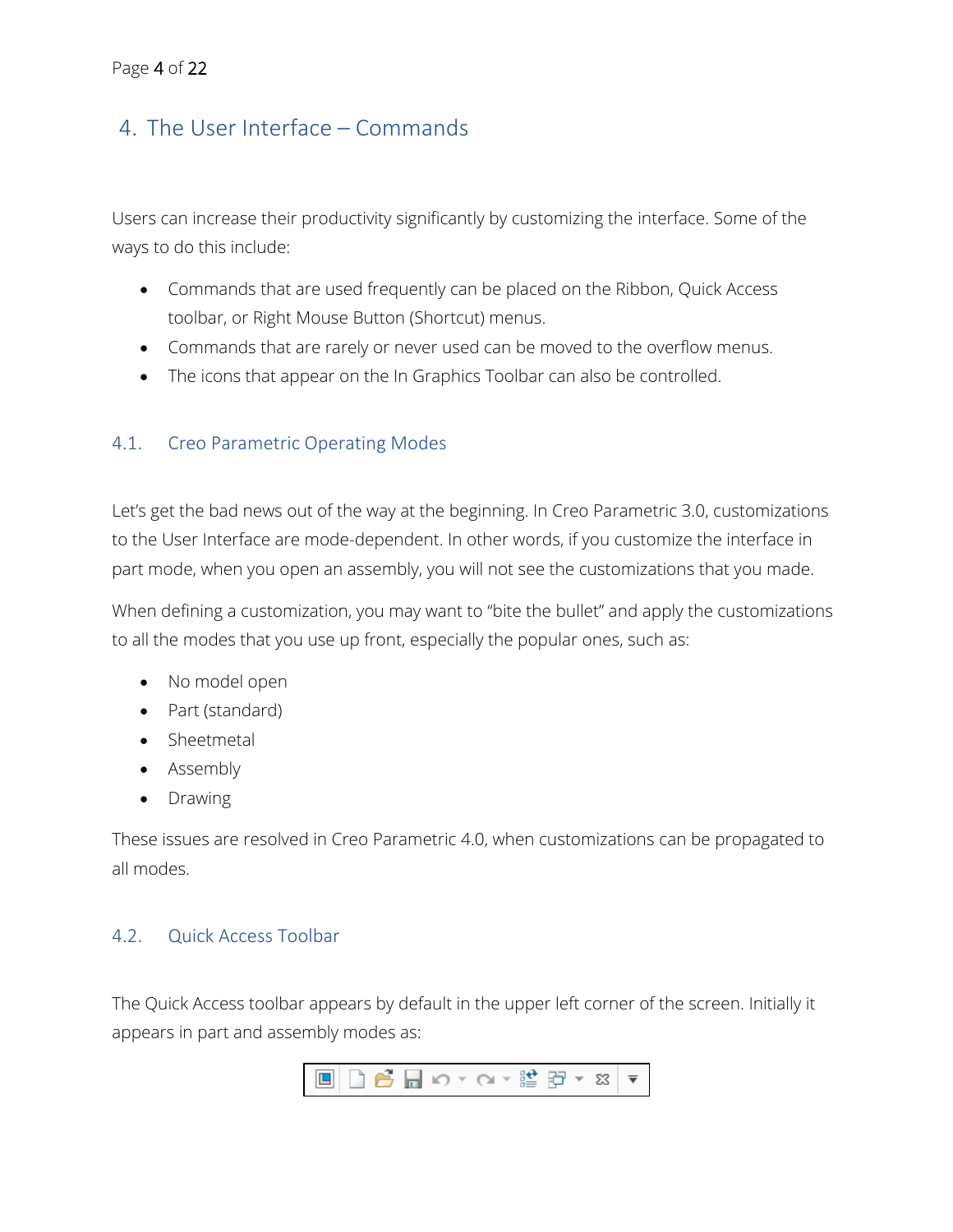# 4. The User Interface – Commands

Users can increase their productivity significantly by customizing the interface. Some of the ways to do this include:

- Commands that are used frequently can be placed on the Ribbon, Quick Access toolbar, or Right Mouse Button (Shortcut) menus.
- Commands that are rarely or never used can be moved to the overflow menus.
- The icons that appear on the In Graphics Toolbar can also be controlled.

#### 4.1. Creo Parametric Operating Modes

Let's get the bad news out of the way at the beginning. In Creo Parametric 3.0, customizations to the User Interface are mode-dependent. In other words, if you customize the interface in part mode, when you open an assembly, you will not see the customizations that you made.

When defining a customization, you may want to "bite the bullet" and apply the customizations to all the modes that you use up front, especially the popular ones, such as:

- No model open
- Part (standard)
- Sheetmetal
- Assembly
- Drawing

These issues are resolved in Creo Parametric 4.0, when customizations can be propagated to all modes.

#### <span id="page-3-0"></span>4.2. Quick Access Toolbar

The Quick Access toolbar appears by default in the upper left corner of the screen. Initially it appears in part and assembly modes as:

$$
\text{min} \left| \begin{array}{c|c|c|c|c} \hline \text{min} & \text{min} \end{array} \right| \left| \begin{array}{c|c|c} \text{min} & \text{min} \end{array} \right| \left| \begin{array}{c|c|c} \text{min} & \text{min} \end{array} \right| \left| \begin{array}{c|c|c|c} \text{min} & \text{min} \end{array} \right| \left| \begin{array}{c|c|c|c} \text{min} & \text{min} \end{array} \right| \left| \begin{array}{c|c|c|c} \text{min} & \text{min} \end{array} \right| \left| \begin{array}{c|c|c|c} \text{min} & \text{min} \end{array} \right| \left| \begin{array}{c|c|c|c} \text{min} & \text{min} \end{array} \right| \left| \begin{array}{c|c|c|c} \text{min} & \text{min} \end{array} \right| \left| \begin{array}{c|c|c|c} \text{min} & \text{min} \end{array} \right| \left| \begin{array}{c|c|c|c} \text{min} & \text{min} \end{array} \right| \left| \begin{array}{c|c|c|c} \text{min} & \text{min} \end{array} \right| \left| \begin{array}{c|c|c|c} \text{min} & \text{min} \end{array} \right| \left| \begin{array}{c|c|c|c} \text{min} & \text{min} \end{array} \right| \left| \begin{array}{c|c|c|c} \text{min} & \text{min} \end{array} \right| \left| \begin{array}{c|c|c|c} \text{min} & \text{min} \end{array} \right| \left| \begin{array}{c|c|c|c} \text{min} & \text{min} \end{array} \right| \left| \begin{array}{c|c|c|c} \text{min} & \text{min} \end{array} \right| \left| \begin{array}{c|c|c|c} \text{min} & \text{min} \end{array} \right| \left| \begin{array}{c|c|c|c} \text{min} & \text{min} \end{array} \right| \left| \begin{array}{c|c|c|c} \text{min} & \text{min} \end{array} \right| \left| \begin{array}{c|c|c|c} \text{
$$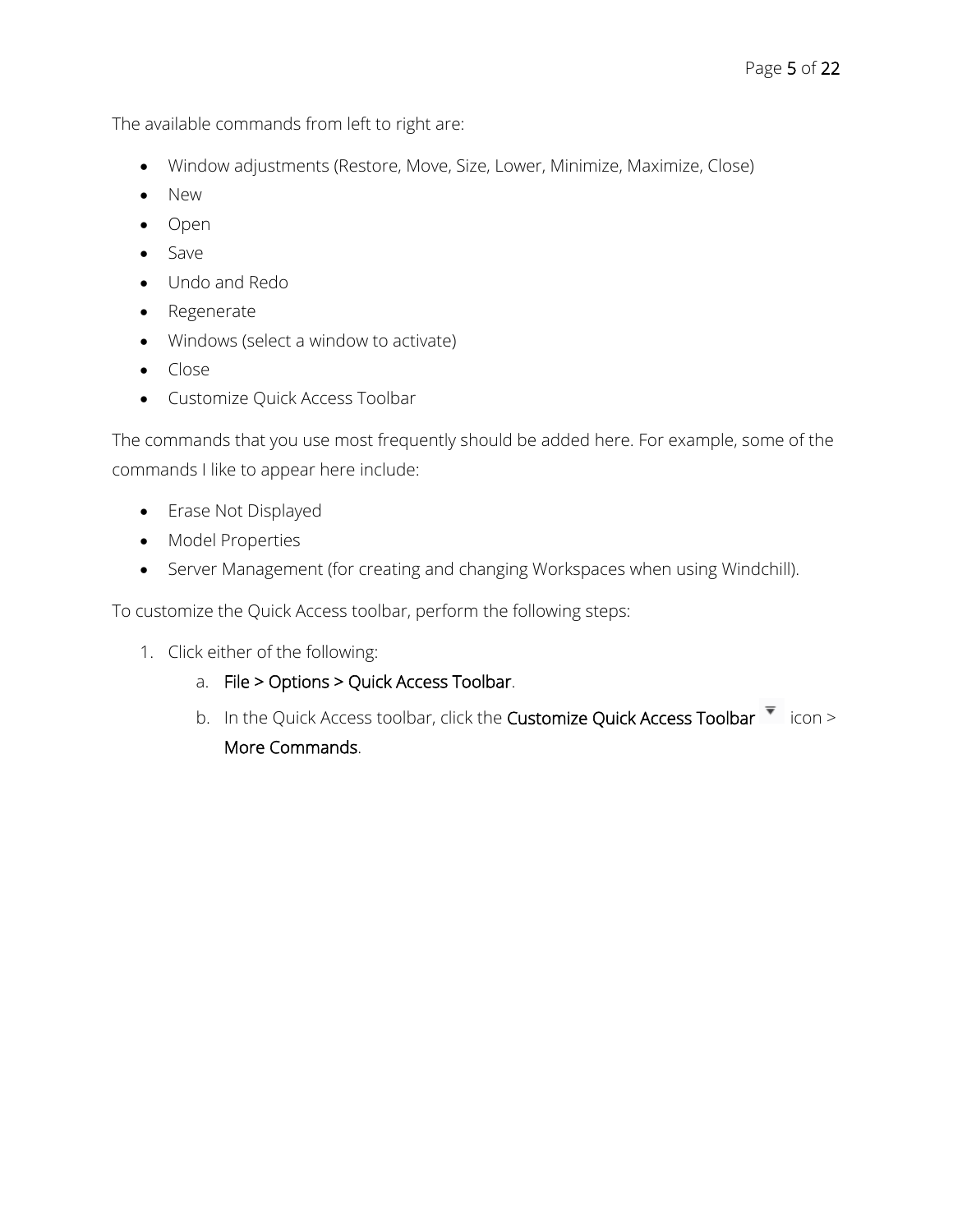The available commands from left to right are:

- Window adjustments (Restore, Move, Size, Lower, Minimize, Maximize, Close)
- New
- Open
- Save
- Undo and Redo
- Regenerate
- Windows (select a window to activate)
- Close
- Customize Quick Access Toolbar

The commands that you use most frequently should be added here. For example, some of the commands I like to appear here include:

- Erase Not Displayed
- Model Properties
- Server Management (for creating and changing Workspaces when using Windchill).

To customize the Quick Access toolbar, perform the following steps:

- 1. Click either of the following:
	- a. File > Options > Quick Access Toolbar.
	- b. In the Quick Access toolbar, click the Customize Quick Access Toolbar  $\overline{\phantom{x}}$  icon > More Commands.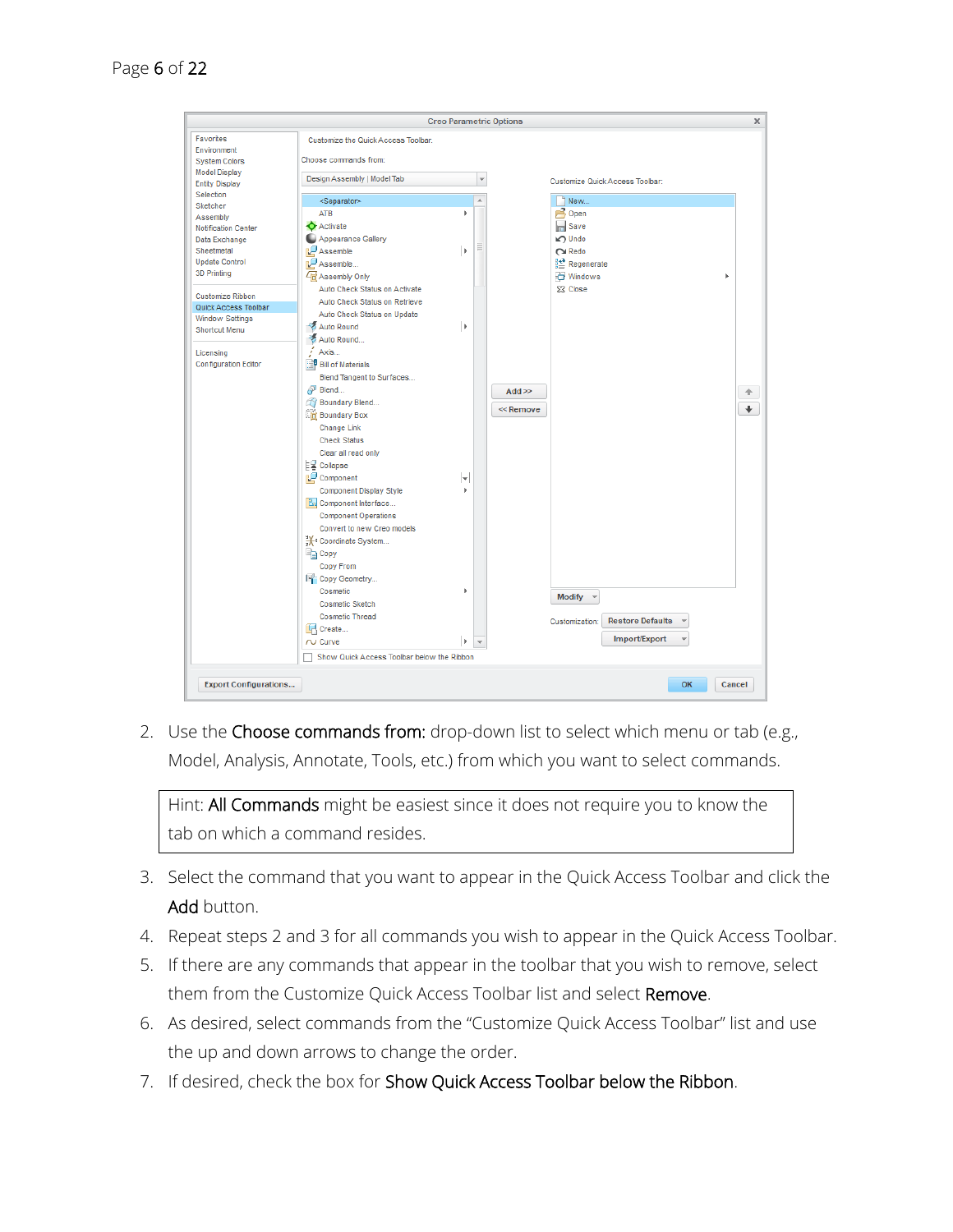

2. Use the Choose commands from: drop-down list to select which menu or tab (e.g., Model, Analysis, Annotate, Tools, etc.) from which you want to select commands.

Hint: All Commands might be easiest since it does not require you to know the tab on which a command resides.

- 3. Select the command that you want to appear in the Quick Access Toolbar and click the Add button.
- 4. Repeat steps 2 and 3 for all commands you wish to appear in the Quick Access Toolbar.
- 5. If there are any commands that appear in the toolbar that you wish to remove, select them from the Customize Quick Access Toolbar list and select Remove.
- 6. As desired, select commands from the "Customize Quick Access Toolbar" list and use the up and down arrows to change the order.
- 7. If desired, check the box for Show Quick Access Toolbar below the Ribbon.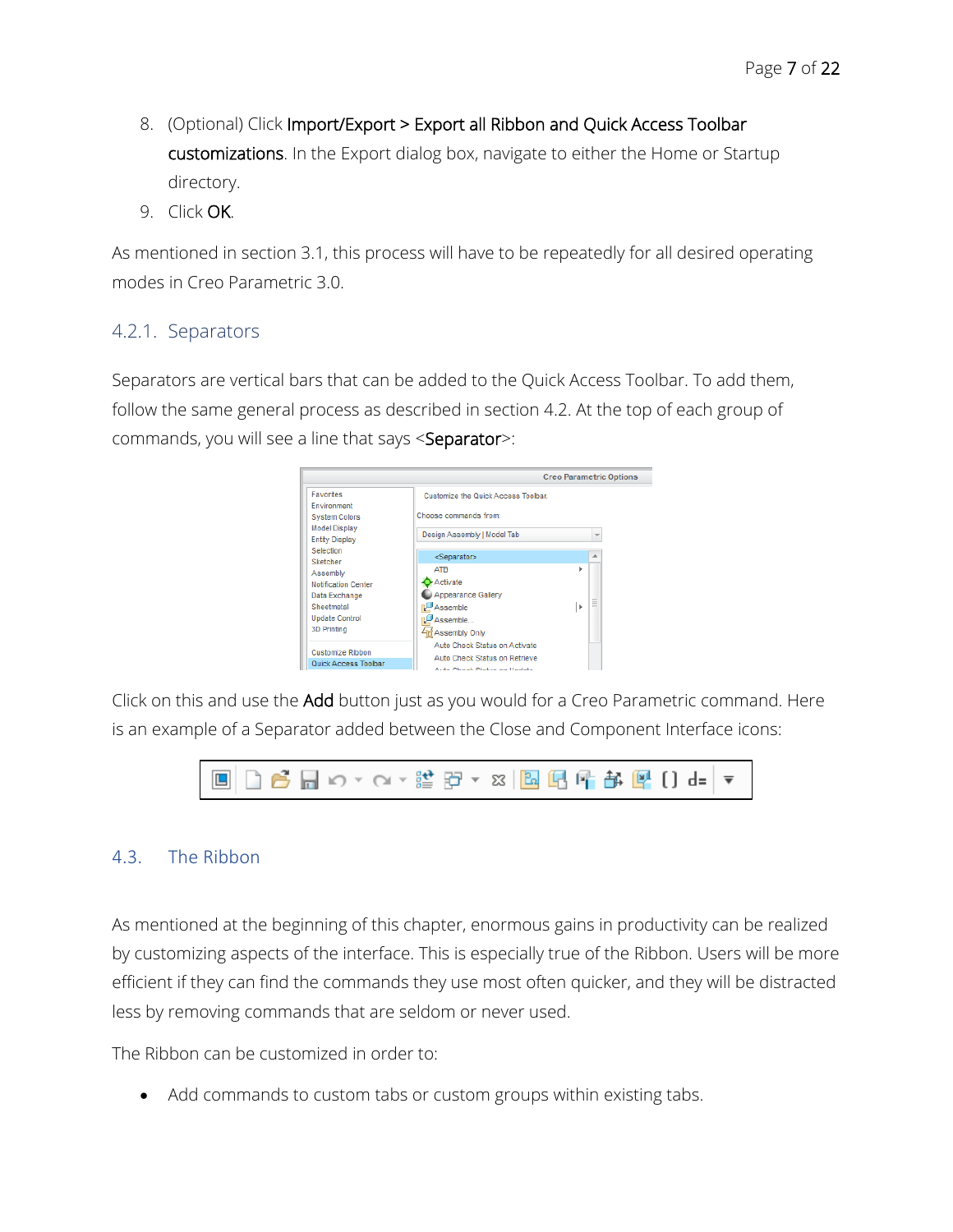- 8. (Optional) Click Import/Export > Export all Ribbon and Quick Access Toolbar customizations. In the Export dialog box, navigate to either the Home or Startup directory.
- 9. Click OK.

As mentioned in section 3.1, this process will have to be repeatedly for all desired operating modes in Creo Parametric 3.0.

#### 4.2.1. Separators

Separators are vertical bars that can be added to the Quick Access Toolbar. To add them, follow the same general process as described in section [4.2.](#page-3-0) At the top of each group of commands, you will see a line that says <Separator>:



Click on this and use the Add button just as you would for a Creo Parametric command. Here is an example of a Separator added between the Close and Component Interface icons:



#### 4.3. The Ribbon

As mentioned at the beginning of this chapter, enormous gains in productivity can be realized by customizing aspects of the interface. This is especially true of the Ribbon. Users will be more efficient if they can find the commands they use most often quicker, and they will be distracted less by removing commands that are seldom or never used.

The Ribbon can be customized in order to:

Add commands to custom tabs or custom groups within existing tabs.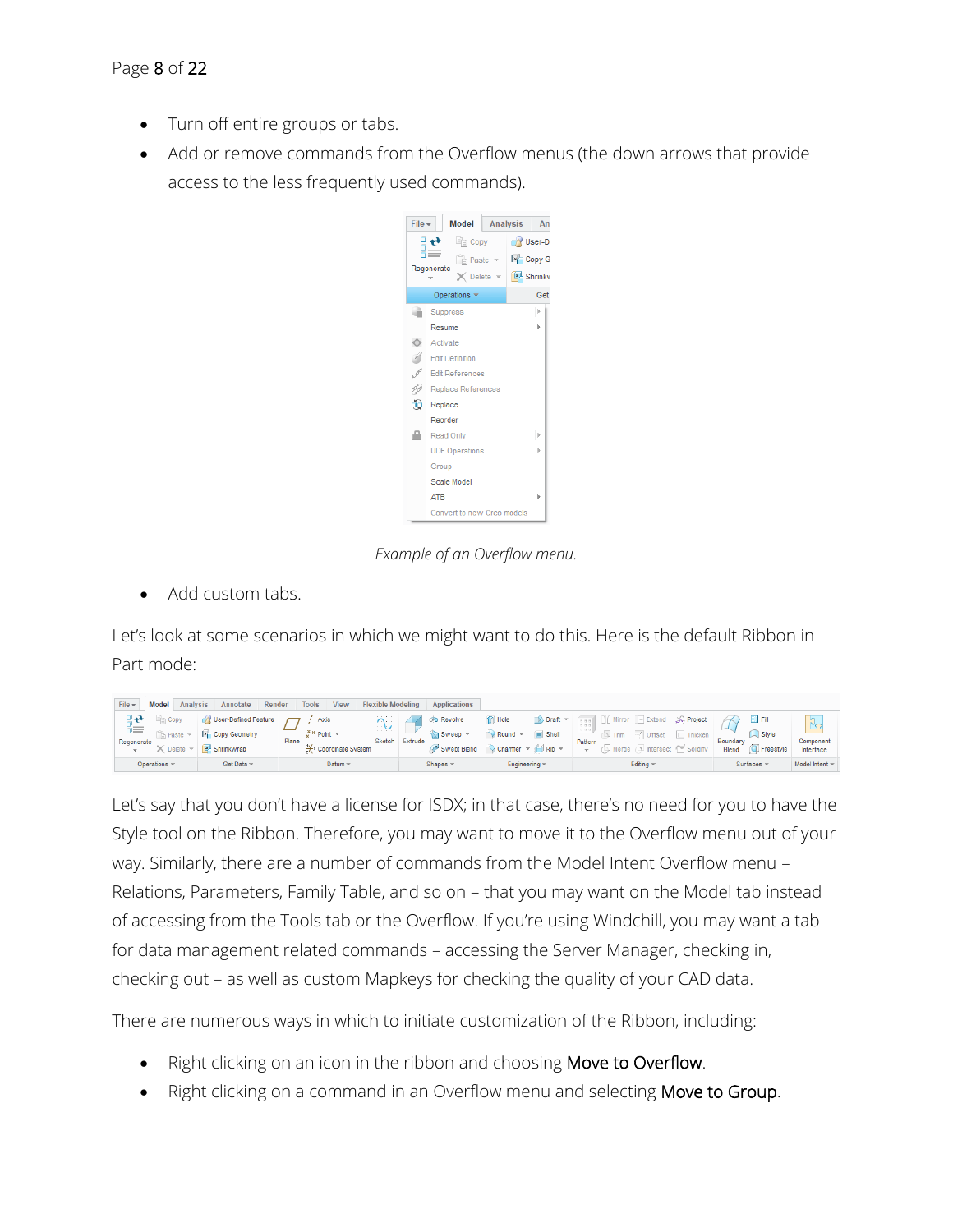- Turn off entire groups or tabs.
- Add or remove commands from the Overflow menus (the down arrows that provide access to the less frequently used commands).



*Example of an Overflow menu.*

• Add custom tabs.

Let's look at some scenarios in which we might want to do this. Here is the default Ribbon in Part mode:

| File $\star$    | <b>Model</b>        | <b>Analysis</b> | Annotate               | Render | <b>Tools</b>                    | <b>View</b>                | <b>Flexible Modeling</b> |         | Applications       |                  |                      |                                                                  |                                 |                |           |                       |                        |
|-----------------|---------------------|-----------------|------------------------|--------|---------------------------------|----------------------------|--------------------------|---------|--------------------|------------------|----------------------|------------------------------------------------------------------|---------------------------------|----------------|-----------|-----------------------|------------------------|
|                 | $\blacksquare$ Copy |                 | V User-Defined Feature |        | Axis                            |                            | .<br>$\sim$              |         | <b>Cio</b> Revolve | <b>Fill Hole</b> | Draft -              | $\Box$ Mirror<br>ses il<br>19 19 19                              | $\rightarrow$ Extend            | Project        |           |                       | $\mathbf{v}$<br>$\sim$ |
| ōΞ              |                     | Paste           | <b>Excepy Geometry</b> |        | $x^{\times}$ Point $x$<br>Plane |                            | ູູ<br>Sketch             | Extrude | <b>Sweep</b>       | Round            | $\blacksquare$ Shell | 1111<br>$\sqrt{}$ Trim                                           | $\overline{\mathcal{C}}$ Offset | $\Box$ Thicken | Boundary  | Style                 | دا<br>Component        |
| Regenerate<br>÷ |                     | <b>Delete</b>   | Shrinkwrap             |        |                                 | <b>X</b> Coordinate System |                          |         | Swept Blend        |                  | Chamfer v is Rib v   | Pattern<br>Intersect <a> Solidify</a><br>J Merge<br><b>Sept.</b> |                                 | <b>Blend</b>   | Freestyle | Interface             |                        |
|                 | Operations          |                 | Get Data ~             |        |                                 | Datum $\sim$               |                          |         | Shapes -           | Engineering v    |                      |                                                                  | Editing ~                       |                |           | Surfaces <sup>®</sup> | Model Intent »         |

Let's say that you don't have a license for ISDX; in that case, there's no need for you to have the Style tool on the Ribbon. Therefore, you may want to move it to the Overflow menu out of your way. Similarly, there are a number of commands from the Model Intent Overflow menu – Relations, Parameters, Family Table, and so on – that you may want on the Model tab instead of accessing from the Tools tab or the Overflow. If you're using Windchill, you may want a tab for data management related commands – accessing the Server Manager, checking in, checking out – as well as custom Mapkeys for checking the quality of your CAD data.

There are numerous ways in which to initiate customization of the Ribbon, including:

- Right clicking on an icon in the ribbon and choosing Move to Overflow.
- Right clicking on a command in an Overflow menu and selecting Move to Group.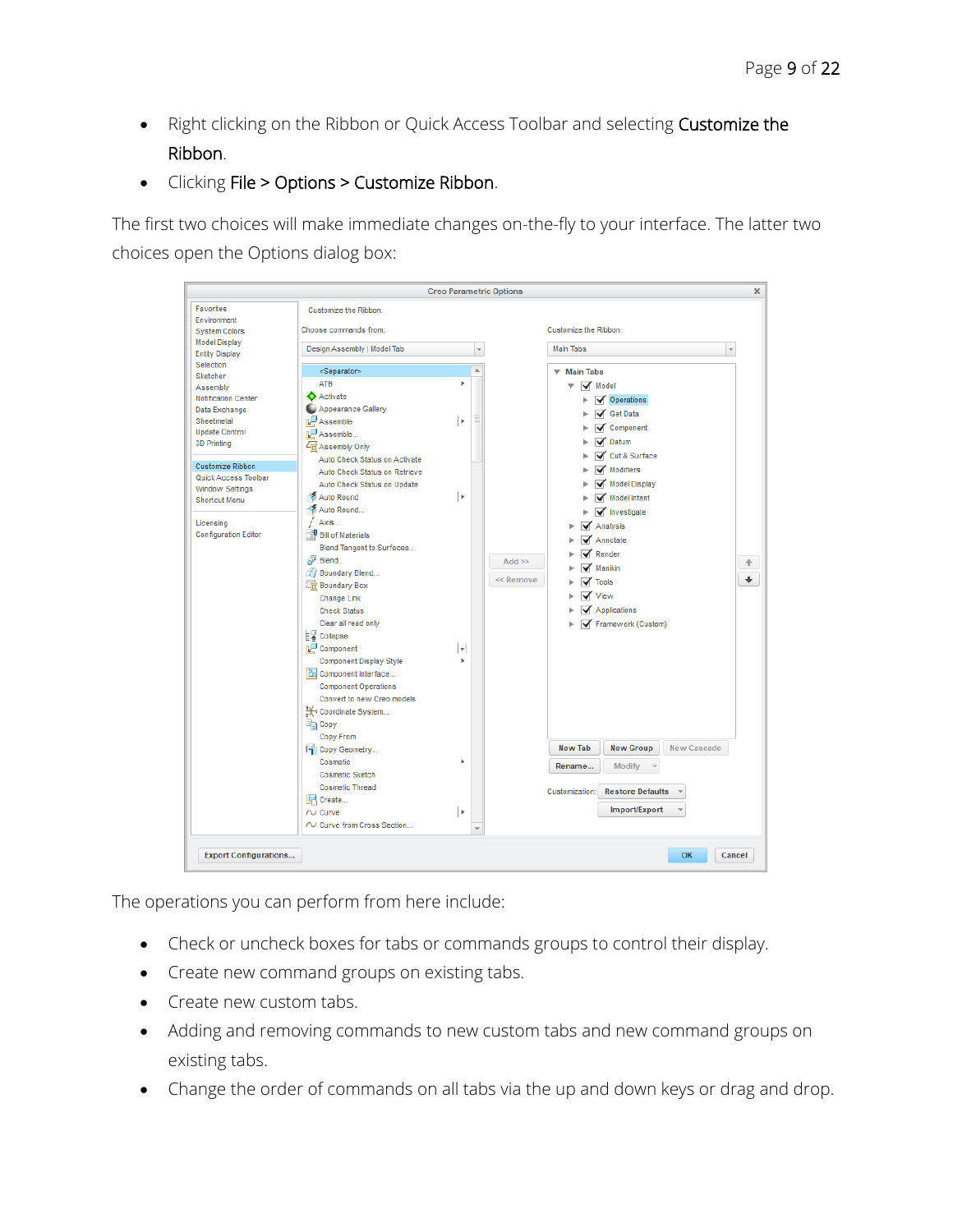- Right clicking on the Ribbon or Quick Access Toolbar and selecting Customize the Ribbon.
- Clicking File > Options > Customize Ribbon.

The first two choices will make immediate changes on-the-fly to your interface. The latter two choices open the Options dialog box:

|                                                                                                                                                                                                                                                                            |                                                                                                                                                                                                                                                                                                                                                                                                                                                                                                                                                                                                                                                                                         | <b>Creo Parametric Options</b> |   |                        |                                                                                                                                                                                                                                                                                                                                                                                                                                                               | x      |
|----------------------------------------------------------------------------------------------------------------------------------------------------------------------------------------------------------------------------------------------------------------------------|-----------------------------------------------------------------------------------------------------------------------------------------------------------------------------------------------------------------------------------------------------------------------------------------------------------------------------------------------------------------------------------------------------------------------------------------------------------------------------------------------------------------------------------------------------------------------------------------------------------------------------------------------------------------------------------------|--------------------------------|---|------------------------|---------------------------------------------------------------------------------------------------------------------------------------------------------------------------------------------------------------------------------------------------------------------------------------------------------------------------------------------------------------------------------------------------------------------------------------------------------------|--------|
| <b>Favorites</b><br>Environment<br><b>System Colors</b><br><b>Model Display</b><br><b>Entity Display</b>                                                                                                                                                                   | Customize the Ribbon.<br>Choose commands from:<br>Design Assembly   Model Tab                                                                                                                                                                                                                                                                                                                                                                                                                                                                                                                                                                                                           |                                |   |                        | Customize the Ribbon:<br><b>Main Tabs</b>                                                                                                                                                                                                                                                                                                                                                                                                                     |        |
| Selection                                                                                                                                                                                                                                                                  | <separator></separator>                                                                                                                                                                                                                                                                                                                                                                                                                                                                                                                                                                                                                                                                 |                                |   |                        |                                                                                                                                                                                                                                                                                                                                                                                                                                                               |        |
| Sketcher<br>Assembly<br><b>Notification Center</b><br>Data Exchange<br>Sheetmetal<br><b>Update Control</b><br><b>3D Printing</b><br><b>Customize Ribbon</b><br>Quick Access Toolbar<br><b>Window Settings</b><br>Shortcut Menu<br>Licensing<br><b>Configuration Editor</b> | ATB<br><b>Activate</b><br>Appearance Gallery<br>Assemble<br>Assemble<br>4 Assembly Only<br>Auto Check Status on Activate<br>Auto Check Status on Retrieve<br>Auto Check Status on Update<br><b>Ka</b> Auto Round<br>Auto Round<br>Axis<br><b>Bill of Materials</b><br>Blend Tangent to Surfaces<br>Blend<br><b>Boundary Blend</b><br><b>in</b> Boundary Box<br><b>Change Link</b><br><b>Check Status</b><br>Clear all read only<br>L2 Collapse<br>Component<br><b>Component Display Style</b><br><b>En Component Interface</b><br><b>Component Operations</b><br>Convert to new Creo models<br>** Coordinate System<br><b>E</b> Copy<br>Copy From<br><b>Excepy Geometry</b><br>Cosmetic | b.<br>b.<br>l k<br>lw.<br>×    | Ξ | $Add \gg$<br><< Remove | <b>▼ Main Tabs</b><br>Model<br>▼<br><b>√</b> Operations<br><b>Get Data</b><br>✓<br>Component<br><b>√</b> Datum<br>Cut & Surface<br>Modifiers<br>Model Display<br>Model Intent<br>$\sqrt{\phantom{a}}$ Investigate<br>Analysis<br>Annotate<br>$\blacktriangledown$ Render<br>Manikin<br><b>Tools</b><br>View<br>$\blacktriangledown$ Applications<br>Framework (Custom)<br><b>New Tab</b><br><b>New Group</b><br><b>New Cascade</b><br>Rename<br><b>Modify</b> | 介<br>۰ |
|                                                                                                                                                                                                                                                                            | <b>Cosmetic Sketch</b><br><b>Cosmetic Thread</b><br><b>I</b> Create<br>$\sim$ Curve<br>$\sim$ Curve from Cross Section                                                                                                                                                                                                                                                                                                                                                                                                                                                                                                                                                                  | l H                            |   |                        | Customization:<br><b>Restore Defaults</b><br>Import/Export                                                                                                                                                                                                                                                                                                                                                                                                    |        |
| <b>Export Configurations</b>                                                                                                                                                                                                                                               |                                                                                                                                                                                                                                                                                                                                                                                                                                                                                                                                                                                                                                                                                         |                                |   |                        | OK<br>Cancel                                                                                                                                                                                                                                                                                                                                                                                                                                                  |        |

The operations you can perform from here include:

- Check or uncheck boxes for tabs or commands groups to control their display.
- Create new command groups on existing tabs.
- Create new custom tabs.
- Adding and removing commands to new custom tabs and new command groups on existing tabs.
- Change the order of commands on all tabs via the up and down keys or drag and drop.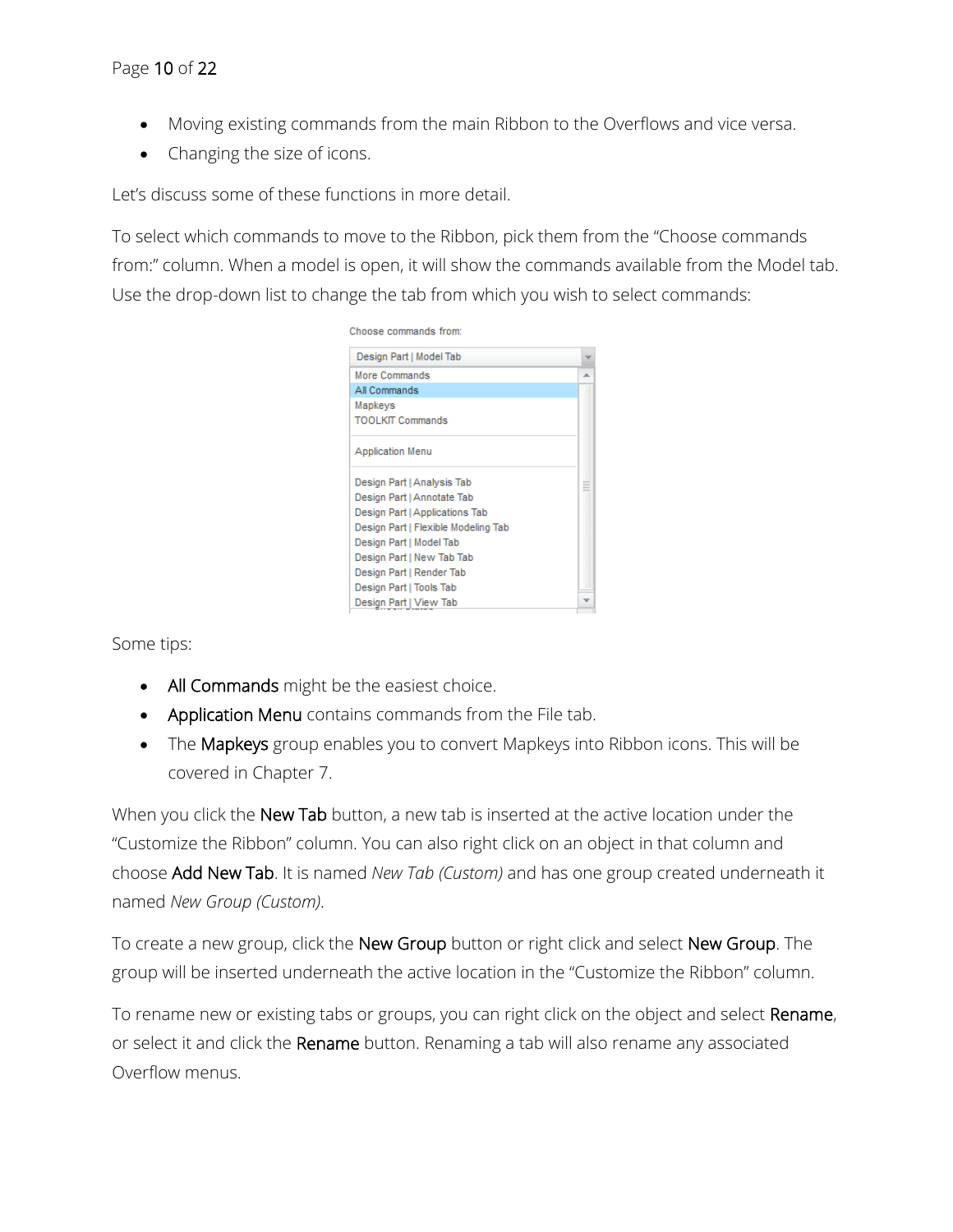- Moving existing commands from the main Ribbon to the Overflows and vice versa.
- Changing the size of icons.

Let's discuss some of these functions in more detail.

To select which commands to move to the Ribbon, pick them from the "Choose commands from:" column. When a model is open, it will show the commands available from the Model tab. Use the drop-down list to change the tab from which you wish to select commands:



Some tips:

- All Commands might be the easiest choice.
- Application Menu contains commands from the File tab.
- The Mapkeys group enables you to convert Mapkeys into Ribbon icons. This will be covered in Chapter 7.

When you click the New Tab button, a new tab is inserted at the active location under the "Customize the Ribbon" column. You can also right click on an object in that column and choose Add New Tab. It is named *New Tab (Custom)* and has one group created underneath it named *New Group (Custom)*.

To create a new group, click the New Group button or right click and select New Group. The group will be inserted underneath the active location in the "Customize the Ribbon" column.

To rename new or existing tabs or groups, you can right click on the object and select Rename, or select it and click the Rename button. Renaming a tab will also rename any associated Overflow menus.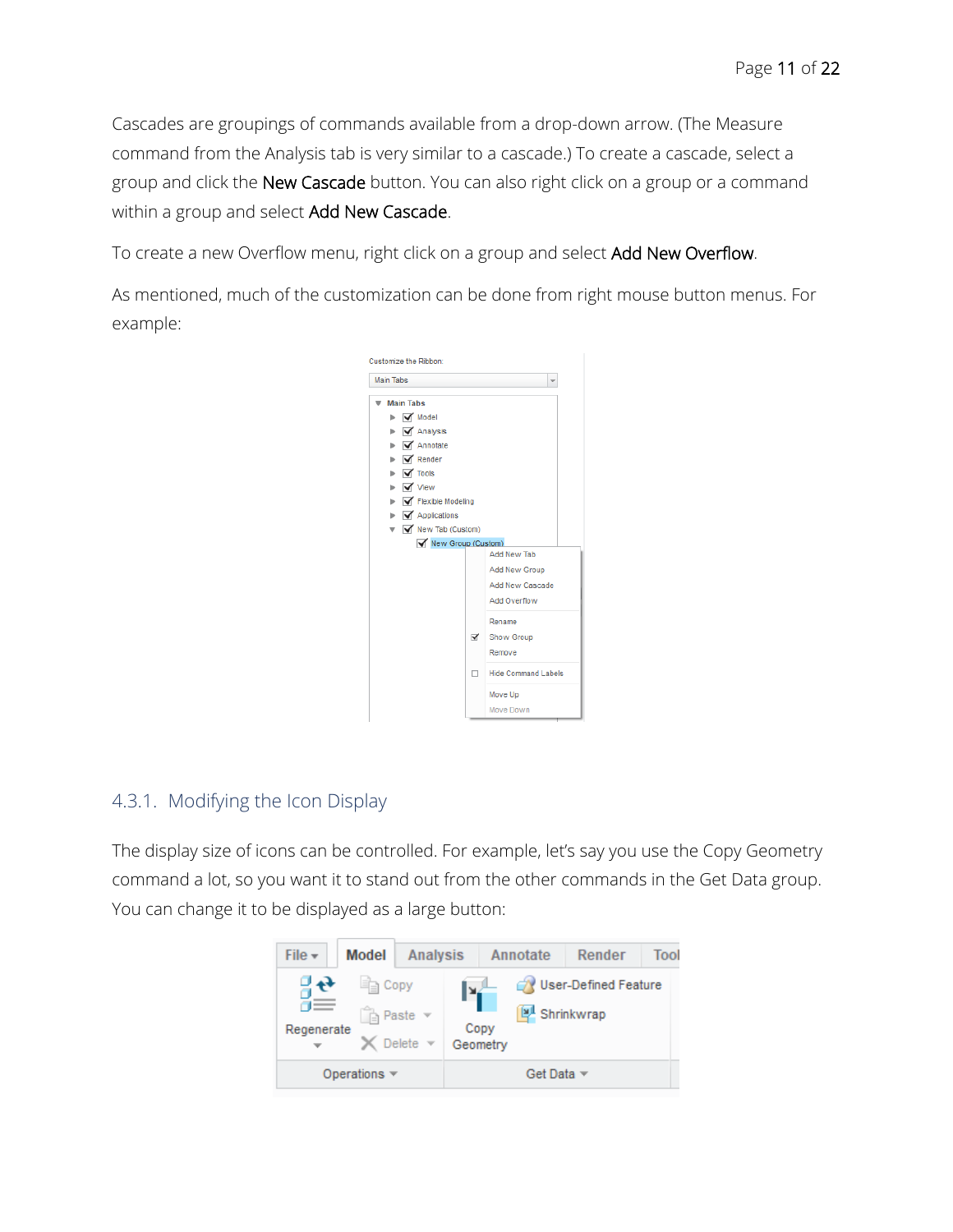Cascades are groupings of commands available from a drop-down arrow. (The Measure command from the Analysis tab is very similar to a cascade.) To create a cascade, select a group and click the New Cascade button. You can also right click on a group or a command within a group and select Add New Cascade.

To create a new Overflow menu, right click on a group and select Add New Overflow.

As mentioned, much of the customization can be done from right mouse button menus. For example:



# 4.3.1. Modifying the Icon Display

The display size of icons can be controlled. For example, let's say you use the Copy Geometry command a lot, so you want it to stand out from the other commands in the Get Data group. You can change it to be displayed as a large button:

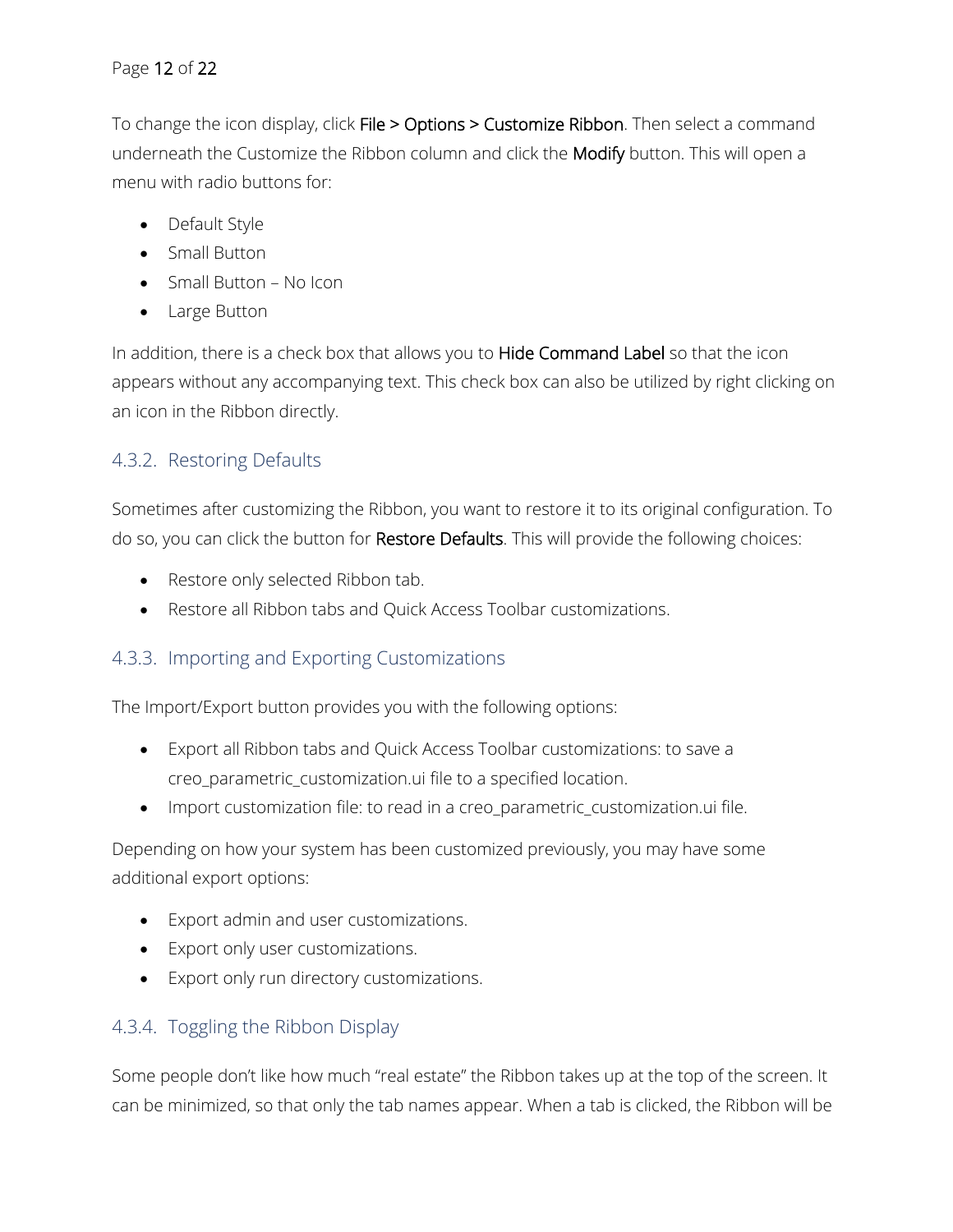# Page 12 of 22

To change the icon display, click File > Options > Customize Ribbon. Then select a command underneath the Customize the Ribbon column and click the Modify button. This will open a menu with radio buttons for:

- Default Style
- Small Button
- Small Button No Icon
- Large Button

In addition, there is a check box that allows you to Hide Command Label so that the icon appears without any accompanying text. This check box can also be utilized by right clicking on an icon in the Ribbon directly.

# 4.3.2. Restoring Defaults

Sometimes after customizing the Ribbon, you want to restore it to its original configuration. To do so, you can click the button for Restore Defaults. This will provide the following choices:

- Restore only selected Ribbon tab.
- Restore all Ribbon tabs and Quick Access Toolbar customizations.

# 4.3.3. Importing and Exporting Customizations

The Import/Export button provides you with the following options:

- Export all Ribbon tabs and Quick Access Toolbar customizations: to save a creo\_parametric\_customization.ui file to a specified location.
- Import customization file: to read in a creo\_parametric\_customization.ui file.

Depending on how your system has been customized previously, you may have some additional export options:

- Export admin and user customizations.
- Export only user customizations.
- Export only run directory customizations.

# 4.3.4. Toggling the Ribbon Display

Some people don't like how much "real estate" the Ribbon takes up at the top of the screen. It can be minimized, so that only the tab names appear. When a tab is clicked, the Ribbon will be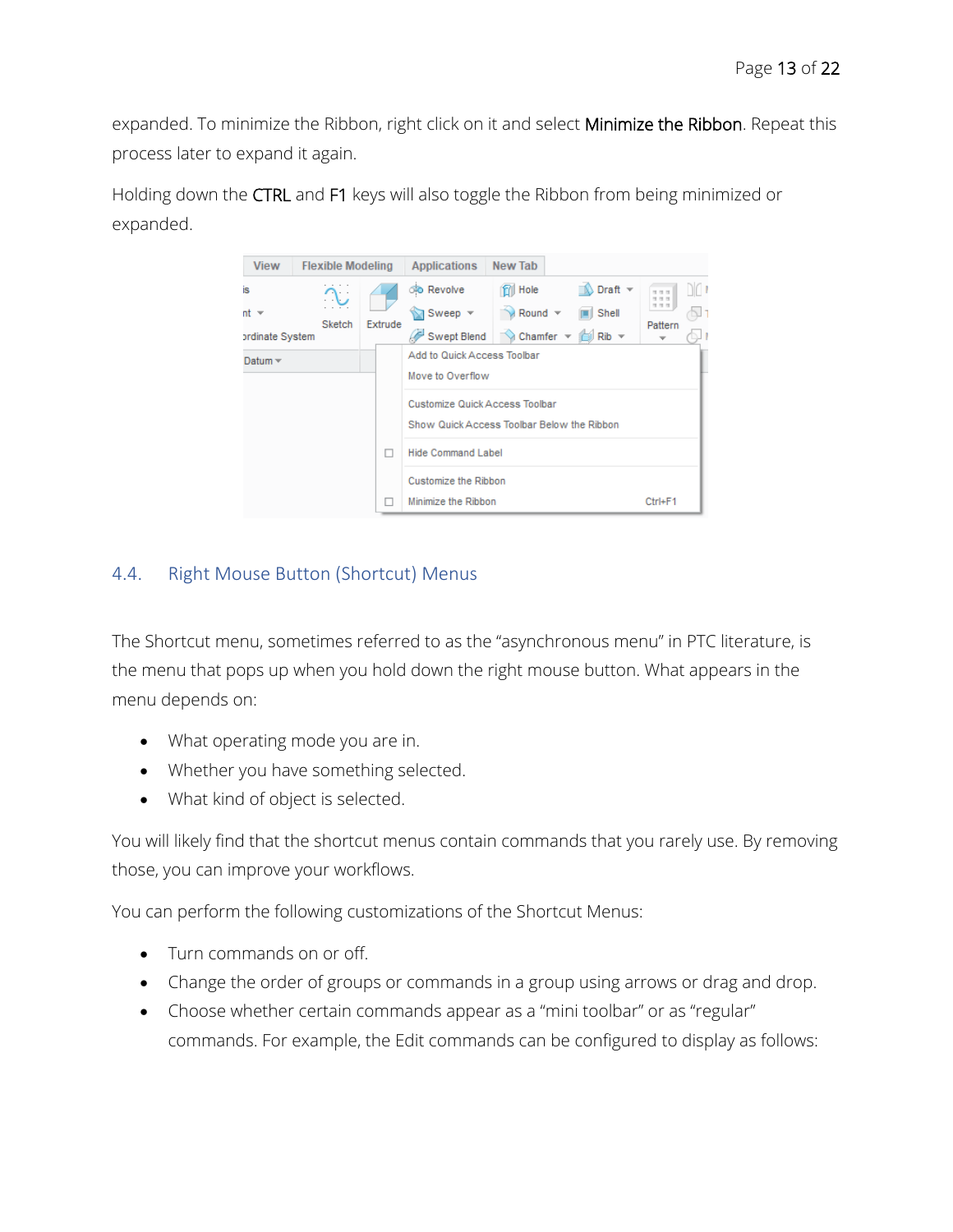expanded. To minimize the Ribbon, right click on it and select Minimize the Ribbon. Repeat this process later to expand it again.

Holding down the CTRL and F1 keys will also toggle the Ribbon from being minimized or expanded.



# 4.4. Right Mouse Button (Shortcut) Menus

The Shortcut menu, sometimes referred to as the "asynchronous menu" in PTC literature, is the menu that pops up when you hold down the right mouse button. What appears in the menu depends on:

- What operating mode you are in.
- Whether you have something selected.
- What kind of object is selected.

You will likely find that the shortcut menus contain commands that you rarely use. By removing those, you can improve your workflows.

You can perform the following customizations of the Shortcut Menus:

- Turn commands on or off.
- Change the order of groups or commands in a group using arrows or drag and drop.
- Choose whether certain commands appear as a "mini toolbar" or as "regular" commands. For example, the Edit commands can be configured to display as follows: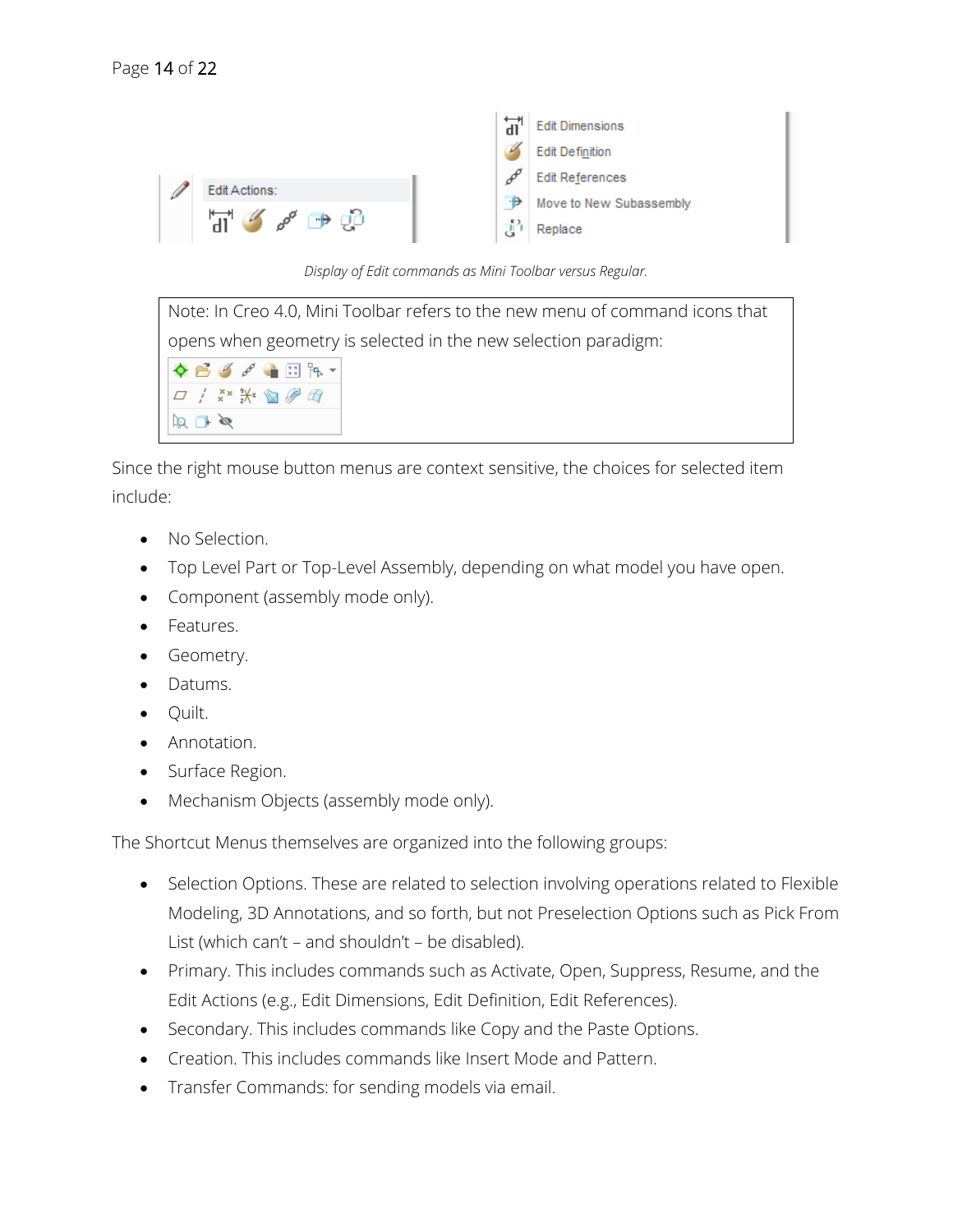

*Display of Edit commands as Mini Toolbar versus Regular.*

Note: In Creo 4.0, Mini Toolbar refers to the new menu of command icons that opens when geometry is selected in the new selection paradigm:  $\mathscr{P}$   $\blacksquare$   $\blacksquare$   $\blacksquare$ / \*\* \*\* m @ @  $\boxtimes \cap \boxtimes$ 

Since the right mouse button menus are context sensitive, the choices for selected item include:

- No Selection.
- Top Level Part or Top-Level Assembly, depending on what model you have open.
- Component (assembly mode only).
- Features.
- Geometry.
- Datums.
- Quilt.
- Annotation.
- Surface Region.
- Mechanism Objects (assembly mode only).

The Shortcut Menus themselves are organized into the following groups:

- Selection Options. These are related to selection involving operations related to Flexible Modeling, 3D Annotations, and so forth, but not Preselection Options such as Pick From List (which can't – and shouldn't – be disabled).
- Primary. This includes commands such as Activate, Open, Suppress, Resume, and the Edit Actions (e.g., Edit Dimensions, Edit Definition, Edit References).
- Secondary. This includes commands like Copy and the Paste Options.
- Creation. This includes commands like Insert Mode and Pattern.
- Transfer Commands: for sending models via email.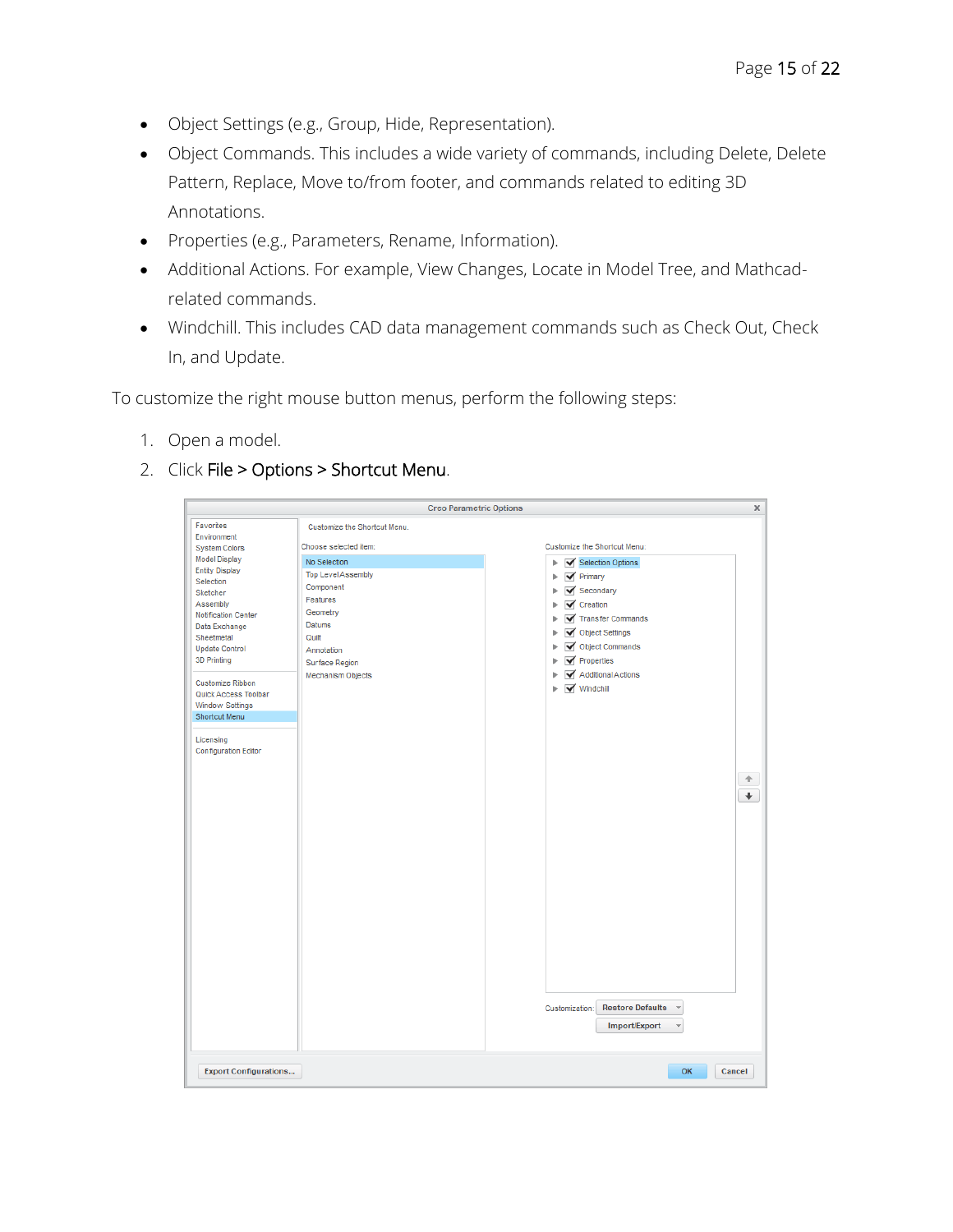- Object Settings (e.g., Group, Hide, Representation).
- Object Commands. This includes a wide variety of commands, including Delete, Delete Pattern, Replace, Move to/from footer, and commands related to editing 3D Annotations.
- Properties (e.g., Parameters, Rename, Information).
- Additional Actions. For example, View Changes, Locate in Model Tree, and Mathcadrelated commands.
- Windchill. This includes CAD data management commands such as Check Out, Check In, and Update.

To customize the right mouse button menus, perform the following steps:

- 1. Open a model.
- 2. Click File > Options > Shortcut Menu.

|                                                                                                                                                                                                                                                                                                                                                                         |                                                                                                                                                                                                                        | <b>Creo Parametric Options</b>                                                                                                                                                                                                                                                                                                                                                                 | $\boldsymbol{\times}$     |
|-------------------------------------------------------------------------------------------------------------------------------------------------------------------------------------------------------------------------------------------------------------------------------------------------------------------------------------------------------------------------|------------------------------------------------------------------------------------------------------------------------------------------------------------------------------------------------------------------------|------------------------------------------------------------------------------------------------------------------------------------------------------------------------------------------------------------------------------------------------------------------------------------------------------------------------------------------------------------------------------------------------|---------------------------|
| Favorites<br>Environment<br><b>System Colors</b><br><b>Model Display</b><br><b>Entity Display</b><br>Selection<br>Sketcher<br>Assembly<br>Notification Center<br>Data Exchange<br>Sheetmetal<br><b>Update Control</b><br>3D Printing<br>Customize Ribbon<br>Quick Access Toolbar<br><b>Window Settings</b><br>Shortcut Menu<br>Licensing<br><b>Configuration Editor</b> | Customize the Shortcut Menu.<br>Choose selected item:<br>No Selection<br><b>Top Level Assembly</b><br>Component<br>Features<br>Geometry<br><b>Datums</b><br>Quilt<br>Annotation<br>Surface Region<br>Mechanism Objects | Customize the Shortcut Menu:<br>Selection Options<br>ь<br>$\blacktriangledown$ Primary<br>r<br>Secondary<br>ь<br>$\blacktriangledown$ Creation<br>Transfer Commands<br>ь<br>Object Settings<br>ь<br>Object Commands<br>ь<br>$\blacktriangledown$ Properties<br>Additional Actions<br>√ Windchill<br>Þ<br><b>Restore Defaults</b><br>Customization:<br>$\overline{\mathbf{v}}$<br>Import/Export | 仐<br>$\ddot{\phantom{1}}$ |
| <b>Export Configurations</b>                                                                                                                                                                                                                                                                                                                                            |                                                                                                                                                                                                                        | OK<br>Cancel                                                                                                                                                                                                                                                                                                                                                                                   |                           |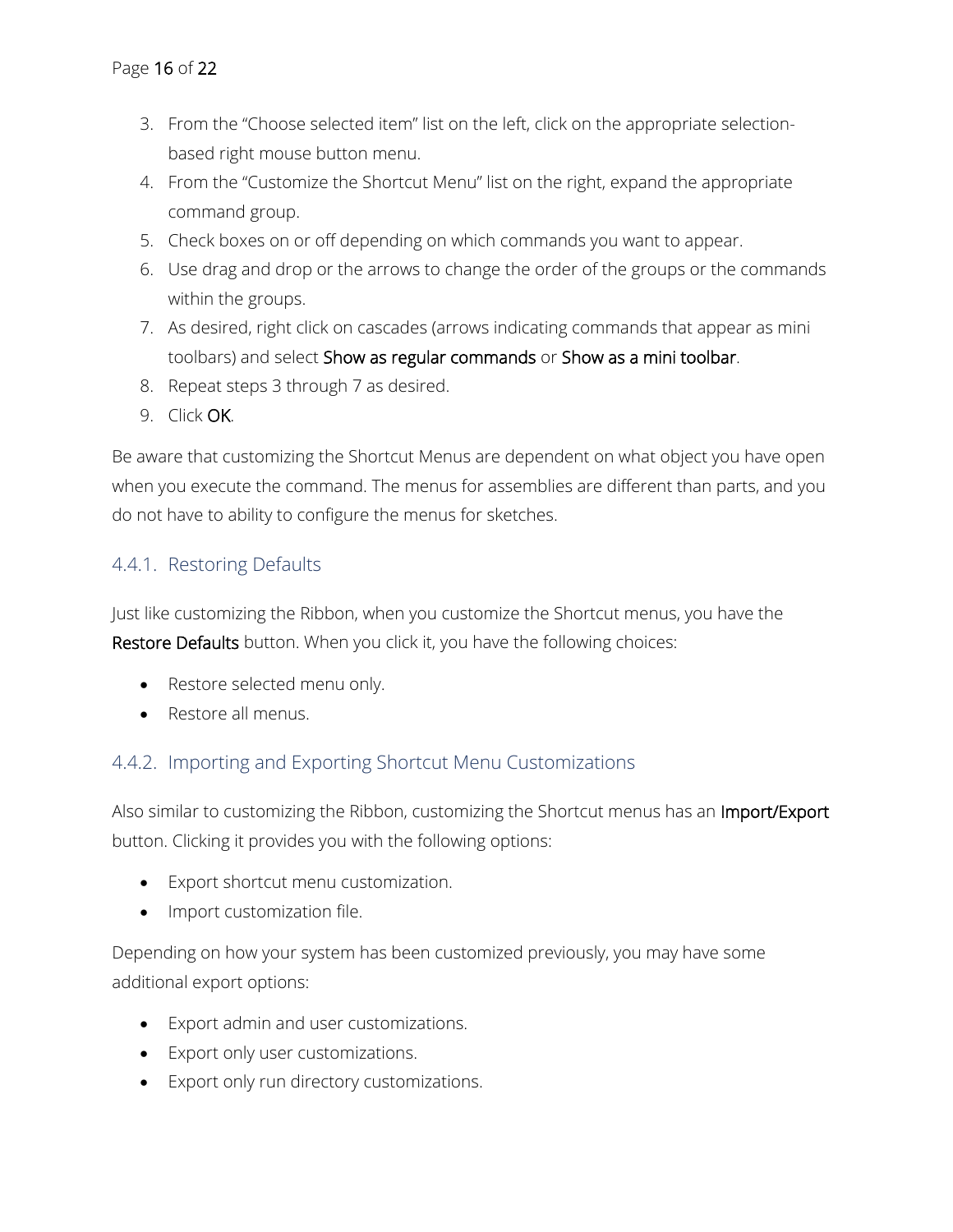- 3. From the "Choose selected item" list on the left, click on the appropriate selectionbased right mouse button menu.
- 4. From the "Customize the Shortcut Menu" list on the right, expand the appropriate command group.
- 5. Check boxes on or off depending on which commands you want to appear.
- 6. Use drag and drop or the arrows to change the order of the groups or the commands within the groups.
- 7. As desired, right click on cascades (arrows indicating commands that appear as mini toolbars) and select Show as regular commands or Show as a mini toolbar.
- 8. Repeat steps 3 through 7 as desired.
- 9. Click OK.

Be aware that customizing the Shortcut Menus are dependent on what object you have open when you execute the command. The menus for assemblies are different than parts, and you do not have to ability to configure the menus for sketches.

# 4.4.1. Restoring Defaults

Just like customizing the Ribbon, when you customize the Shortcut menus, you have the Restore Defaults button. When you click it, you have the following choices:

- Restore selected menu only.
- Restore all menus.

# 4.4.2. Importing and Exporting Shortcut Menu Customizations

Also similar to customizing the Ribbon, customizing the Shortcut menus has an Import/Export button. Clicking it provides you with the following options:

- Export shortcut menu customization.
- Import customization file.

Depending on how your system has been customized previously, you may have some additional export options:

- Export admin and user customizations.
- Export only user customizations.
- Export only run directory customizations.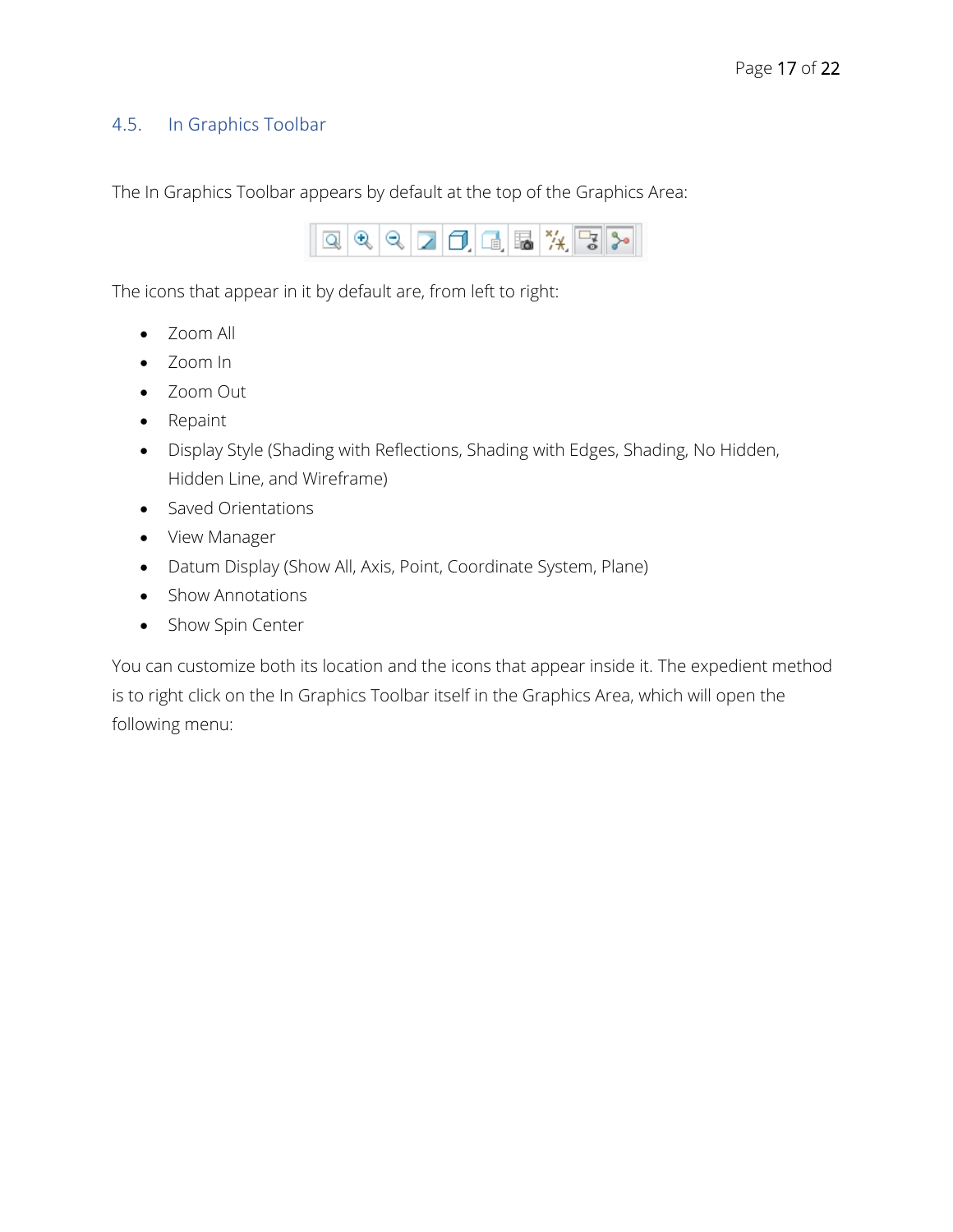#### 4.5. In Graphics Toolbar

The In Graphics Toolbar appears by default at the top of the Graphics Area:



The icons that appear in it by default are, from left to right:

- Zoom All
- Zoom In
- Zoom Out
- Repaint
- Display Style (Shading with Reflections, Shading with Edges, Shading, No Hidden, Hidden Line, and Wireframe)
- Saved Orientations
- View Manager
- Datum Display (Show All, Axis, Point, Coordinate System, Plane)
- Show Annotations
- Show Spin Center

You can customize both its location and the icons that appear inside it. The expedient method is to right click on the In Graphics Toolbar itself in the Graphics Area, which will open the following menu: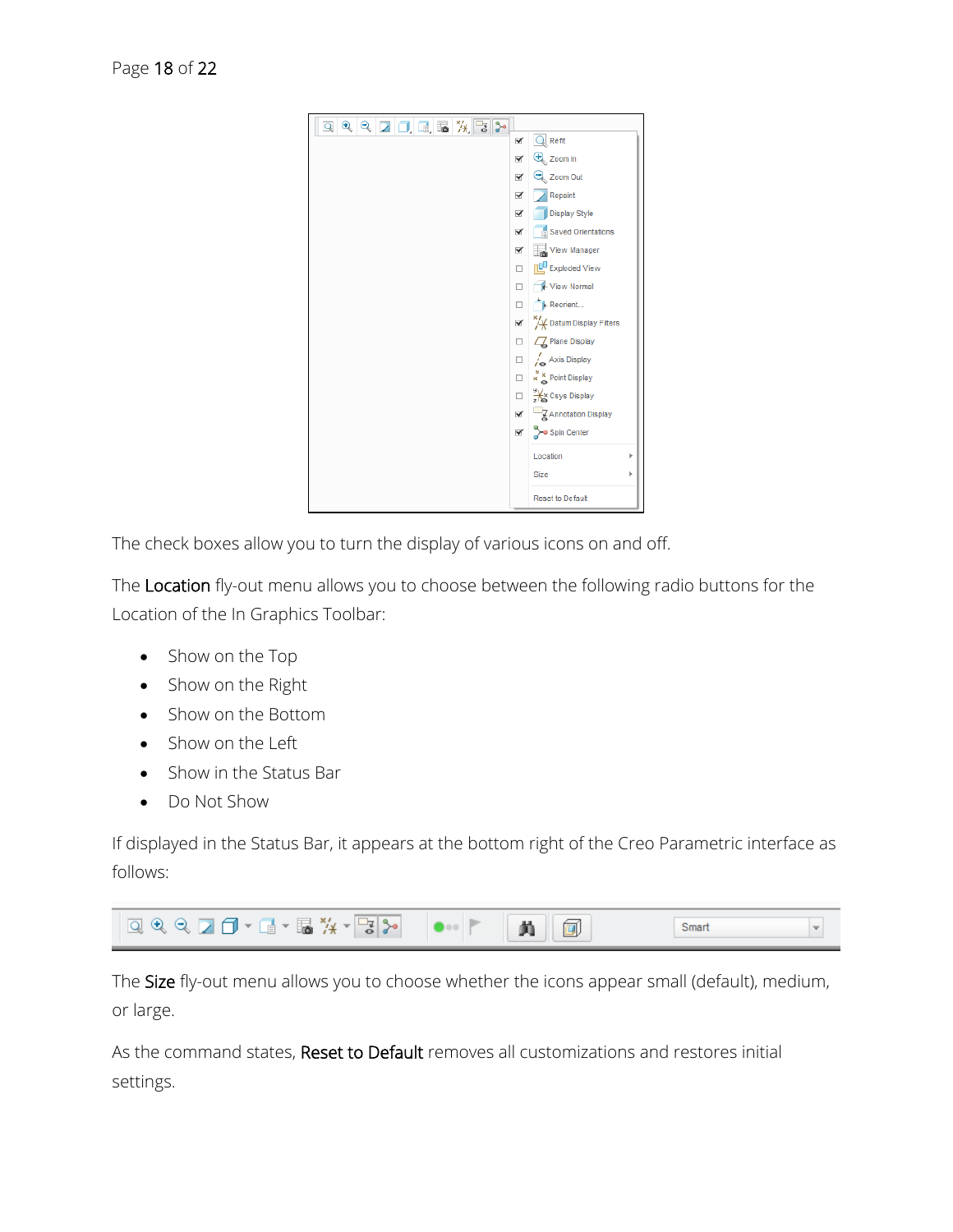

The check boxes allow you to turn the display of various icons on and off.

The Location fly-out menu allows you to choose between the following radio buttons for the Location of the In Graphics Toolbar:

- Show on the Top
- Show on the Right
- Show on the Bottom
- Show on the Left
- Show in the Status Bar
- Do Not Show

If displayed in the Status Bar, it appears at the bottom right of the Creo Parametric interface as follows:



The Size fly-out menu allows you to choose whether the icons appear small (default), medium, or large.

As the command states, Reset to Default removes all customizations and restores initial settings.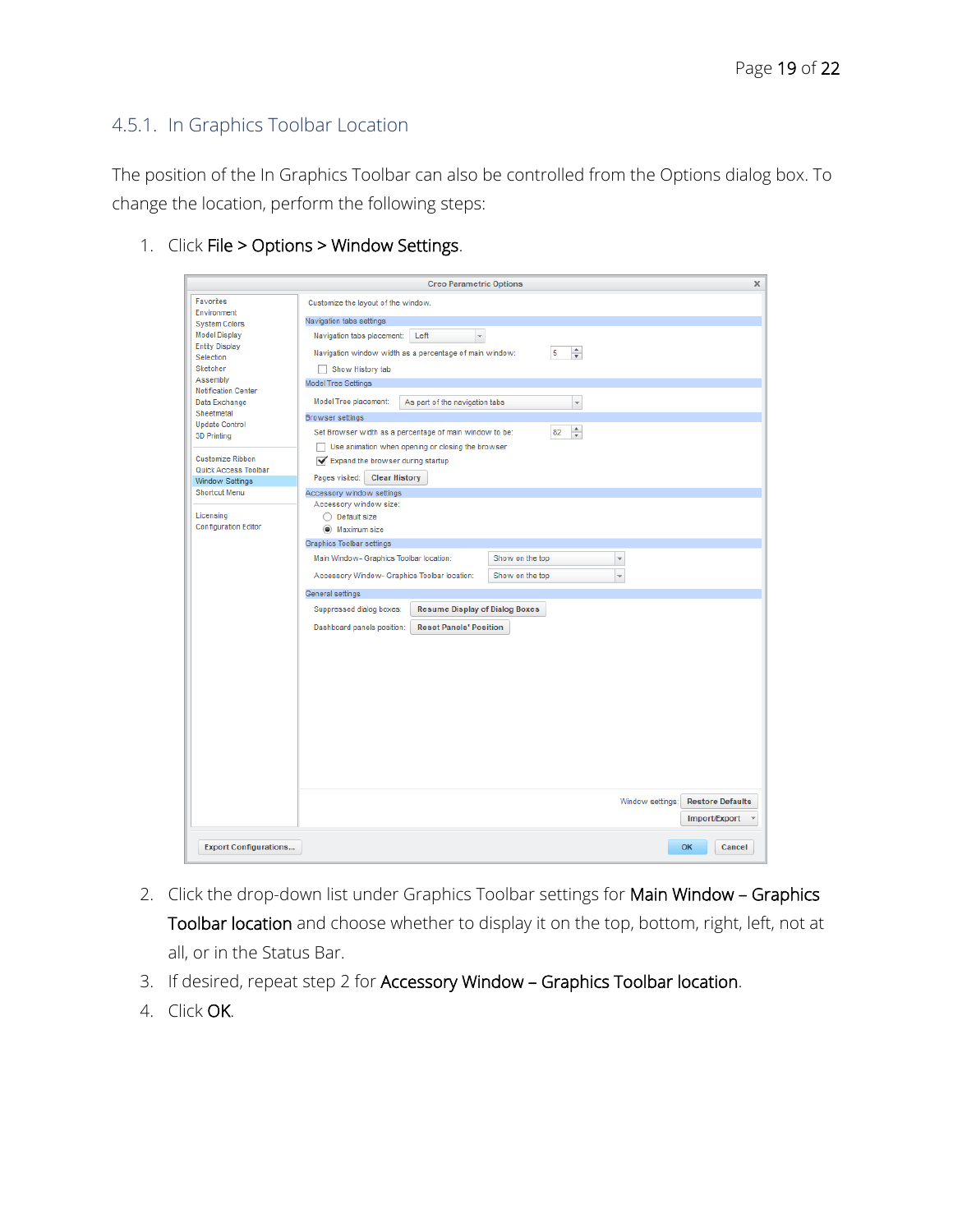# <span id="page-18-0"></span>4.5.1. In Graphics Toolbar Location

The position of the In Graphics Toolbar can also be controlled from the Options dialog box. To change the location, perform the following steps:

- Creo Parametric Options Favorites Customize the layout of the window. Environment Navigation tabs settings **System Colors Model Display** Navigation tabs placement: Left <a> **Entity Display** Navigation window width as a percentage of main window:  $5 - \frac{4}{\pi}$ Selection Sketcher Show History tab Assembly Model Tree Settings Notification Center Model Tree placement: As part of the navigation tabs Data Exchange  $\overline{\phantom{a}}$ Sheetmetal **Browser settings Update Control** Set Browser width as a percentage of main window to be:  $82 \frac{4}{7}$ 3D Printing Use animation when opening or closing the browser Customize Ribbon Expand the browser during startup Quick Access Toolbar Pages visited: Clear History Window Settings Shortcut Menu Accessory window settings Accessory window size: Licensing ◯ Default size **Configuration Editor**  $\odot$  Maximum size Graphics Toolbar settings Main Window- Graphics Toolbar location: Show on the top  $\overline{\phantom{a}}$ Accessory Window- Graphics Toolbar location: Show on the top  $\overline{\phantom{a}}$ General settings Suppressed dialog boxes: Resume Display of Dialog Boxes Dashboard panels position: Reset Panels' Position Window settings: Restore Defaults Import/Export v **Export Configurations...** OK Cancel
- 1. Click File > Options > Window Settings.

- 2. Click the drop-down list under Graphics Toolbar settings for Main Window Graphics Toolbar location and choose whether to display it on the top, bottom, right, left, not at all, or in the Status Bar.
- 3. If desired, repeat step 2 for Accessory Window Graphics Toolbar location.
- 4. Click OK.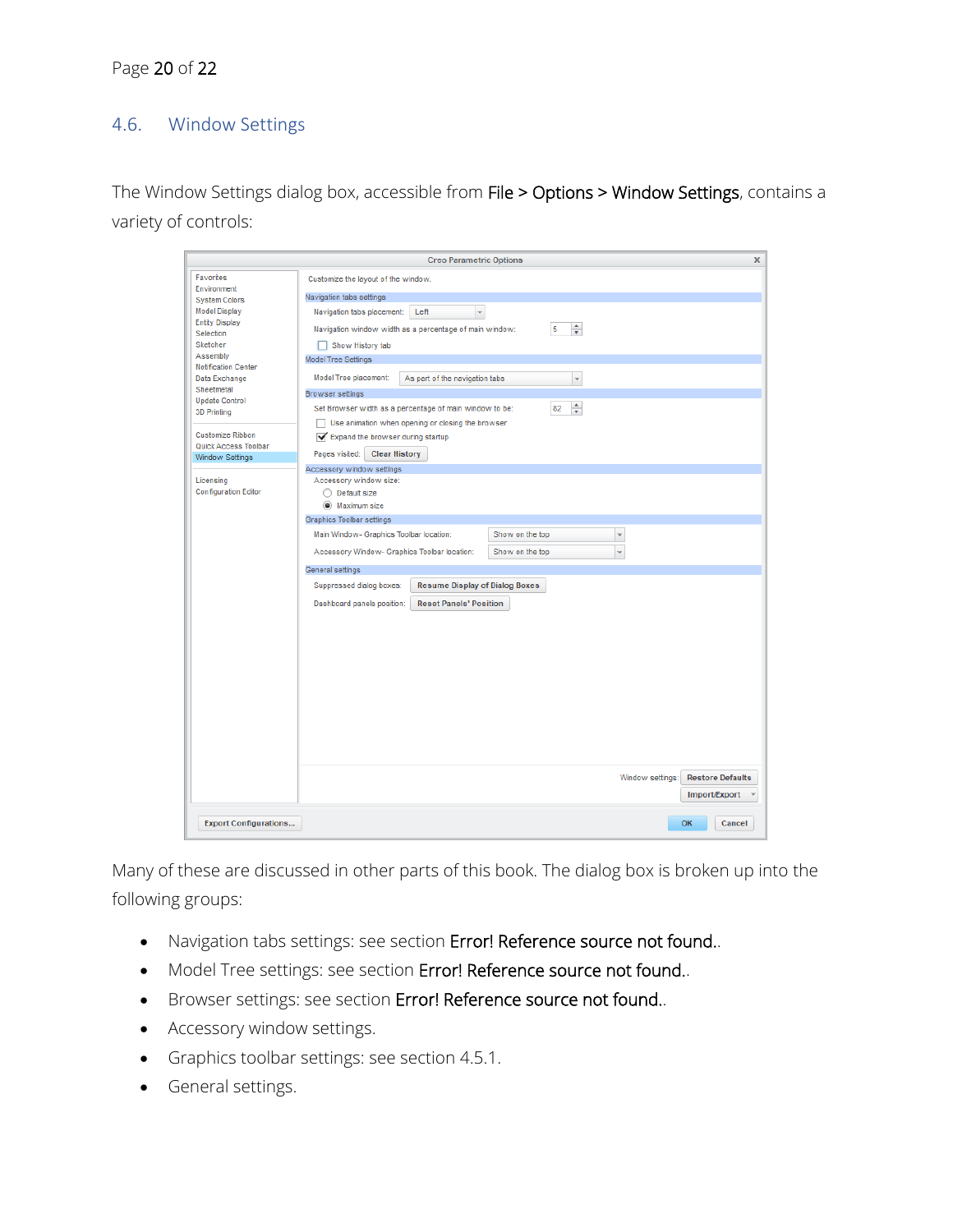# 4.6. Window Settings

The Window Settings dialog box, accessible from File > Options > Window Settings, contains a variety of controls:

|                                                                                                                                                                      | <b>Creo Parametric Options</b><br>x                                                                                                                                                                                                                         |  |  |  |  |  |  |  |
|----------------------------------------------------------------------------------------------------------------------------------------------------------------------|-------------------------------------------------------------------------------------------------------------------------------------------------------------------------------------------------------------------------------------------------------------|--|--|--|--|--|--|--|
| Favorites<br>Environment<br><b>System Colors</b><br><b>Model Display</b><br><b>Entity Display</b><br>Selection<br>Sketcher<br>Assembly<br><b>Notification Center</b> | Customize the layout of the window.<br>Navigation tabs settings<br>Left<br>Navigation tabs placement:<br>$\mathbf{v}$<br>÷<br>5<br>Navigation window width as a percentage of main window:<br>Show History tab<br><b>Model Tree Settings</b>                |  |  |  |  |  |  |  |
| Data Exchange<br>Sheetmetal<br><b>Update Control</b><br><b>3D Printing</b>                                                                                           | Model Tree placement:<br>$\overline{\mathbf{v}}$<br>As part of the navigation tabs<br><b>Browser</b> settings<br>$\frac{1}{\pi}$<br>Set Browser width as a percentage of main window to be:<br>82<br>Use animation when opening or closing the browser<br>n |  |  |  |  |  |  |  |
| Customize Ribbon<br>Quick Access Toolbar<br><b>Window Settings</b>                                                                                                   | Expand the browser during startup<br><b>Clear History</b><br>Pages visited:<br>Accessory window settings                                                                                                                                                    |  |  |  |  |  |  |  |
| Licensing<br><b>Configuration Editor</b>                                                                                                                             | Accessory window size:<br>◯ Default size<br>(a) Maximum size<br><b>Graphics Toolbar settings</b>                                                                                                                                                            |  |  |  |  |  |  |  |
|                                                                                                                                                                      | Main Window- Graphics Toolbar location:<br>Show on the top<br>$\mathbf{v}$<br>Accessory Window- Graphics Toolbar location:<br>Show on the top<br>$\overline{\phantom{a}}$<br>General settings                                                               |  |  |  |  |  |  |  |
|                                                                                                                                                                      | Suppressed dialog boxes:<br><b>Resume Display of Dialog Boxes</b><br>Dashboard panels position:<br><b>Reset Panels' Position</b>                                                                                                                            |  |  |  |  |  |  |  |
|                                                                                                                                                                      | Window settings:<br><b>Restore Defaults</b><br>Import/Export                                                                                                                                                                                                |  |  |  |  |  |  |  |
| <b>Export Configurations</b>                                                                                                                                         | OK<br>Cancel                                                                                                                                                                                                                                                |  |  |  |  |  |  |  |

Many of these are discussed in other parts of this book. The dialog box is broken up into the following groups:

- Navigation tabs settings: see section Error! Reference source not found..
- Model Tree settings: see section Error! Reference source not found..
- Browser settings: see section Error! Reference source not found..
- Accessory window settings.
- Graphics toolbar settings: see section [4.5.1.](#page-18-0)
- General settings.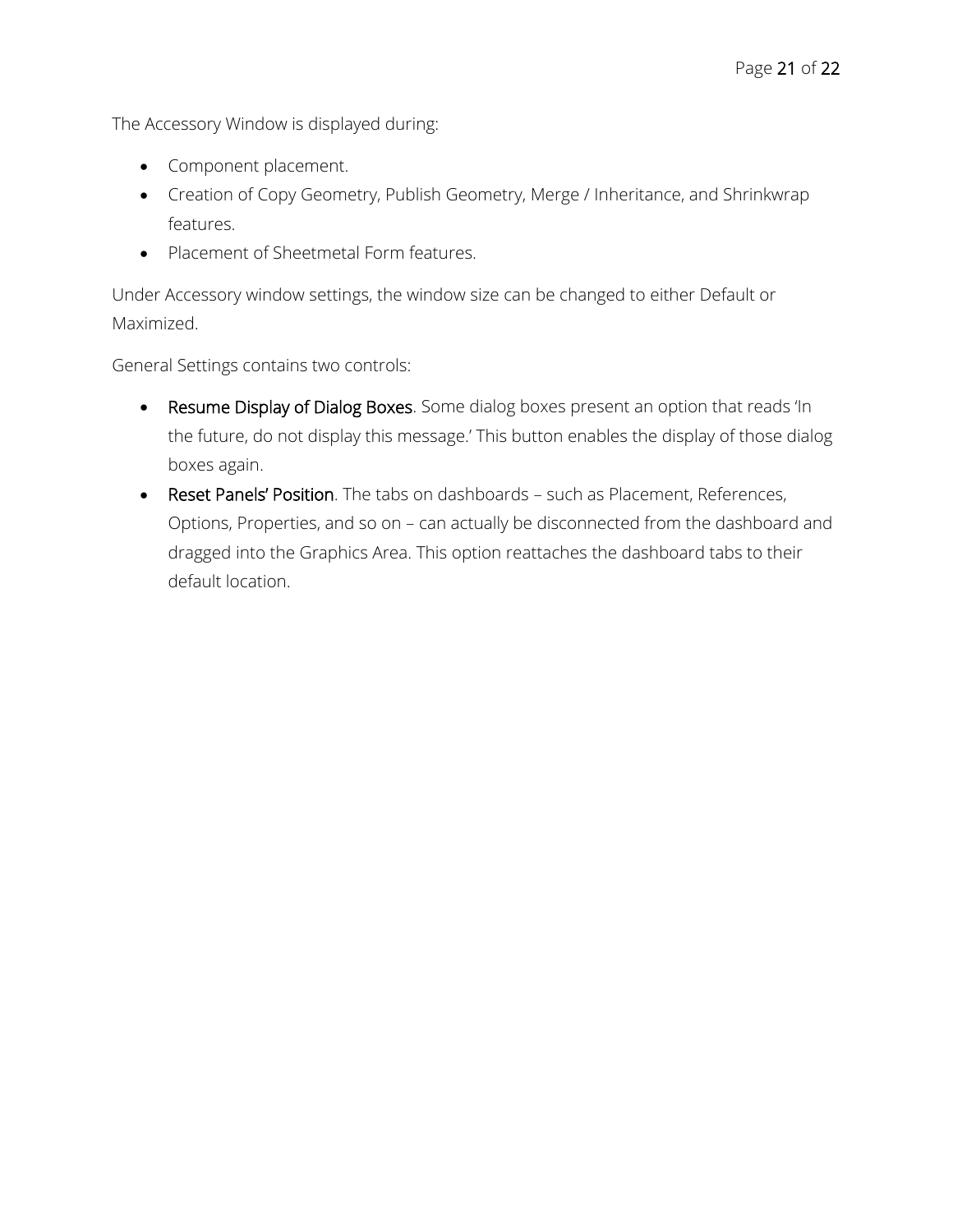The Accessory Window is displayed during:

- Component placement.
- Creation of Copy Geometry, Publish Geometry, Merge / Inheritance, and Shrinkwrap features.
- Placement of Sheetmetal Form features.

Under Accessory window settings, the window size can be changed to either Default or Maximized.

General Settings contains two controls:

- Resume Display of Dialog Boxes. Some dialog boxes present an option that reads 'In the future, do not display this message.' This button enables the display of those dialog boxes again.
- Reset Panels' Position. The tabs on dashboards such as Placement, References, Options, Properties, and so on – can actually be disconnected from the dashboard and dragged into the Graphics Area. This option reattaches the dashboard tabs to their default location.